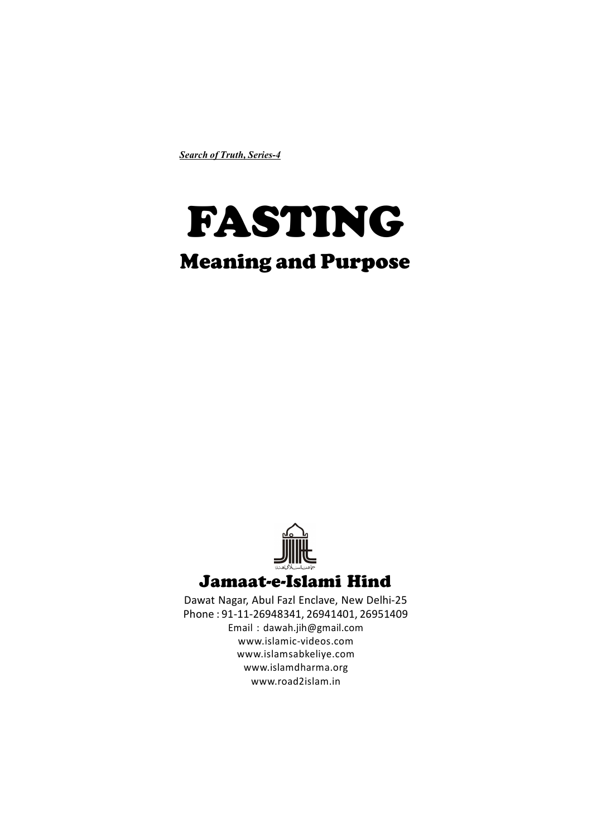*Search of Truth, Series-4*

# FASTING Meaning and Purpose



Dawat Nagar, Abul Fazl Enclave, New Delhi-25 Phone : 91-11-26948341, 26941401, 26951409 Email : dawah.jih@gmail.com www.islamic-videos.com www.islamsabkeliye.com www.islamdharma.org www.road2islam.in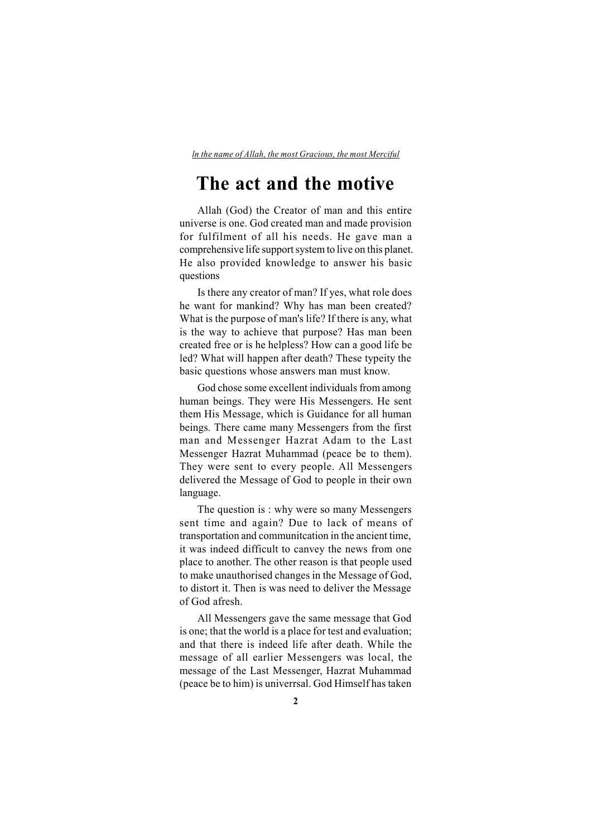*ln the name of Allah, the most Gracious, the most Merciful*

## **The act and the motive**

Allah (God) the Creator of man and this entire universe is one. God created man and made provision for fulfilment of all his needs. He gave man a comprehensive life support system to live on this planet. He also provided knowledge to answer his basic questions

Is there any creator of man? If yes, what role does he want for mankind? Why has man been created? What is the purpose of man's life? If there is any, what is the way to achieve that purpose? Has man been created free or is he helpless? How can a good life be led? What will happen after death? These typeity the basic questions whose answers man must know.

God chose some excellent individuals from among human beings. They were His Messengers. He sent them His Message, which is Guidance for all human beings. There came many Messengers from the first man and Messenger Hazrat Adam to the Last Messenger Hazrat Muhammad (peace be to them). They were sent to every people. All Messengers delivered the Message of God to people in their own language.

The question is : why were so many Messengers sent time and again? Due to lack of means of transportation and communitcation in the ancient time, it was indeed difficult to canvey the news from one place to another. The other reason is that people used to make unauthorised changes in the Message of God, to distort it. Then is was need to deliver the Message of God afresh.

All Messengers gave the same message that God is one; that the world is a place for test and evaluation; and that there is indeed life after death. While the message of all earlier Messengers was local, the message of the Last Messenger, Hazrat Muhammad (peace be to him) is univerrsal. God Himself has taken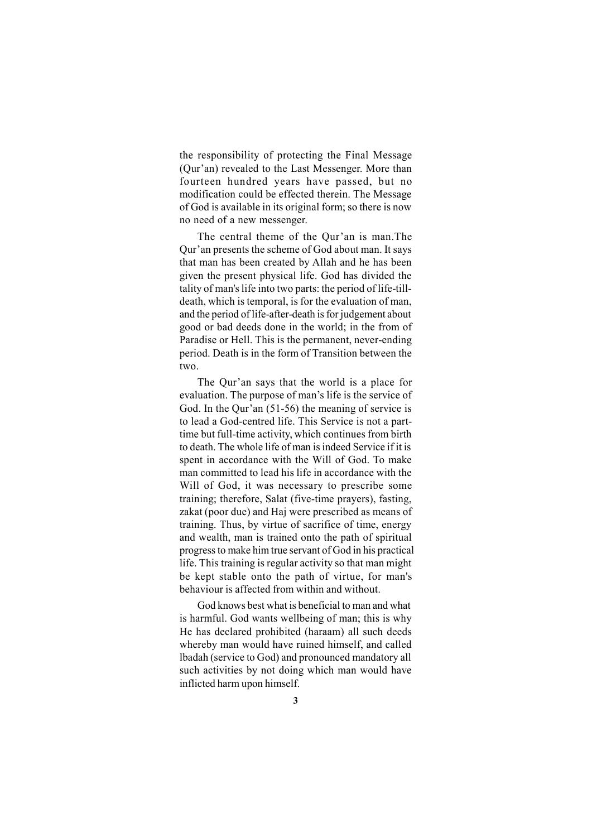the responsibility of protecting the Final Message (Qur'an) revealed to the Last Messenger. More than fourteen hundred years have passed, but no modification could be effected therein. The Message of God is available in its original form; so there is now no need of a new messenger.

The central theme of the Qur'an is man.The Qur'an presents the scheme of God about man. It says that man has been created by Allah and he has been given the present physical life. God has divided the tality of man's life into two parts: the period of life-tilldeath, which is temporal, is for the evaluation of man, and the period of life-after-death is for judgement about good or bad deeds done in the world; in the from of Paradise or Hell. This is the permanent, never-ending period. Death is in the form of Transition between the two.

The Qur'an says that the world is a place for evaluation. The purpose of man's life is the service of God. In the Qur'an (51-56) the meaning of service is to lead a God-centred life. This Service is not a parttime but full-time activity, which continues from birth to death. The whole life of man is indeed Service if it is spent in accordance with the Will of God. To make man committed to lead his life in accordance with the Will of God, it was necessary to prescribe some training; therefore, Salat (five-time prayers), fasting, zakat (poor due) and Haj were prescribed as means of training. Thus, by virtue of sacrifice of time, energy and wealth, man is trained onto the path of spiritual progress to make him true servant of God in his practical life. This training is regular activity so that man might be kept stable onto the path of virtue, for man's behaviour is affected from within and without.

God knows best what is beneficial to man and what is harmful. God wants wellbeing of man; this is why He has declared prohibited (haraam) all such deeds whereby man would have ruined himself, and called lbadah (service to God) and pronounced mandatory all such activities by not doing which man would have inflicted harm upon himself.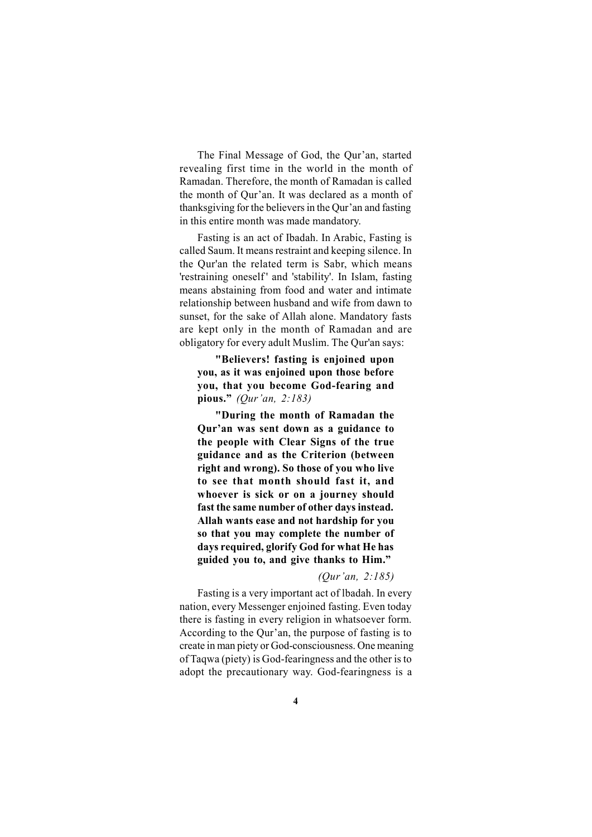The Final Message of God, the Qur'an, started revealing first time in the world in the month of Ramadan. Therefore, the month of Ramadan is called the month of Qur'an. It was declared as a month of thanksgiving for the believers in the Qur'an and fasting in this entire month was made mandatory.

Fasting is an act of Ibadah. In Arabic, Fasting is called Saum. It means restraint and keeping silence. In the Qur'an the related term is Sabr, which means 'restraining oneself' and 'stability'. In Islam, fasting means abstaining from food and water and intimate relationship between husband and wife from dawn to sunset, for the sake of Allah alone. Mandatory fasts are kept only in the month of Ramadan and are obligatory for every adult Muslim. The Qur'an says:

**"Believers! fasting is enjoined upon you, as it was enjoined upon those before you, that you become God-fearing and pious."** *(Qur'an, 2:183)*

**"During the month of Ramadan the Qur'an was sent down as a guidance to the people with Clear Signs of the true guidance and as the Criterion (between right and wrong). So those of you who live to see that month should fast it, and whoever is sick or on a journey should fast the same number of other days instead. Allah wants ease and not hardship for you so that you may complete the number of days required, glorify God for what He has guided you to, and give thanks to Him."**

#### *(Qur'an, 2:185)*

Fasting is a very important act of lbadah. In every nation, every Messenger enjoined fasting. Even today there is fasting in every religion in whatsoever form. According to the Qur'an, the purpose of fasting is to create in man piety or God-consciousness. One meaning of Taqwa (piety) is God-fearingness and the other is to adopt the precautionary way. God-fearingness is a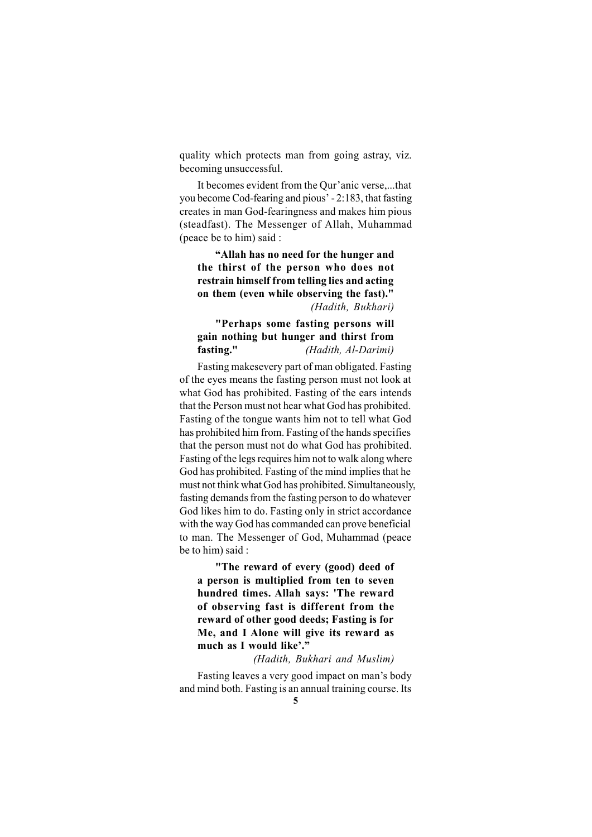quality which protects man from going astray, viz. becoming unsuccessful.

It becomes evident from the Qur'anic verse,...that you become Cod-fearing and pious' - 2:183, that fasting creates in man God-fearingness and makes him pious (steadfast). The Messenger of Allah, Muhammad (peace be to him) said :

**"Allah has no need for the hunger and the thirst of the person who does not restrain himself from telling lies and acting on them (even while observing the fast)."** *(Hadith, Bukhari)*

### **"Perhaps some fasting persons will gain nothing but hunger and thirst from fasting."** *(Hadith, Al-Darimi)*

Fasting makesevery part of man obligated. Fasting of the eyes means the fasting person must not look at what God has prohibited. Fasting of the ears intends that the Person must not hear what God has prohibited. Fasting of the tongue wants him not to tell what God has prohibited him from. Fasting of the hands specifies that the person must not do what God has prohibited. Fasting of the legs requires him not to walk along where God has prohibited. Fasting of the mind implies that he must not think what God has prohibited. Simultaneously, fasting demands from the fasting person to do whatever God likes him to do. Fasting only in strict accordance with the way God has commanded can prove beneficial to man. The Messenger of God, Muhammad (peace be to him) said :

**"The reward of every (good) deed of a person is multiplied from ten to seven hundred times. Allah says: 'The reward of observing fast is different from the reward of other good deeds; Fasting is for Me, and I Alone will give its reward as much as I would like'."**

#### *(Hadith, Bukhari and Muslim)*

Fasting leaves a very good impact on man's body and mind both. Fasting is an annual training course. Its